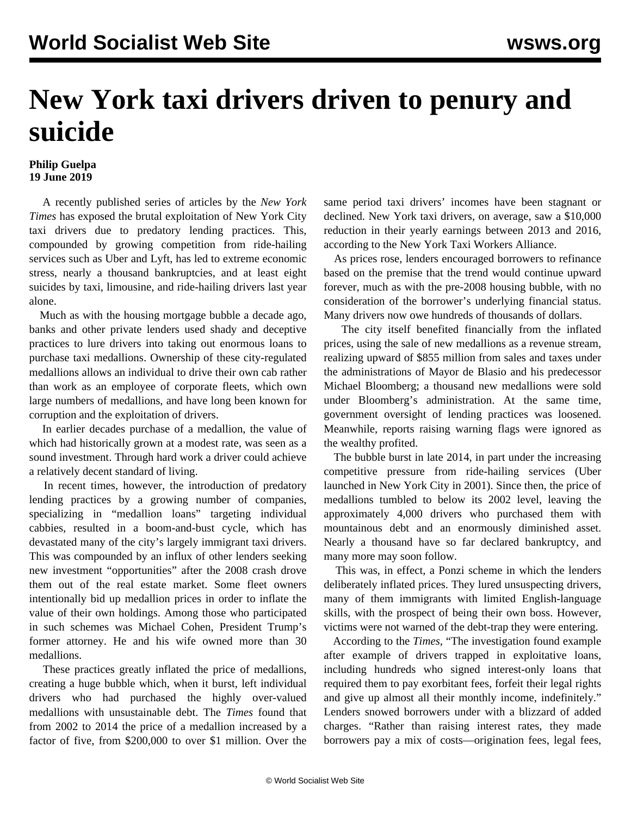## **New York taxi drivers driven to penury and suicide**

## **Philip Guelpa 19 June 2019**

 A recently published series of articles by the *New York Times* has exposed the brutal exploitation of New York City taxi drivers due to predatory lending practices. This, compounded by growing competition from ride-hailing services such as Uber and Lyft, has led to extreme economic stress, nearly a thousand bankruptcies, and at least eight suicides by taxi, limousine, and ride-hailing drivers last year alone.

 Much as with the housing mortgage bubble a decade ago, banks and other private lenders used shady and deceptive practices to lure drivers into taking out enormous loans to purchase taxi medallions. Ownership of these city-regulated medallions allows an individual to drive their own cab rather than work as an employee of corporate fleets, which own large numbers of medallions, and have long been known for corruption and the exploitation of drivers.

 In earlier decades purchase of a medallion, the value of which had historically grown at a modest rate, was seen as a sound investment. Through hard work a driver could achieve a relatively decent standard of living.

 In recent times, however, the introduction of predatory lending practices by a growing number of companies, specializing in "medallion loans" targeting individual cabbies, resulted in a boom-and-bust cycle, which has devastated many of the city's largely immigrant taxi drivers. This was compounded by an influx of other lenders seeking new investment "opportunities" after the 2008 crash drove them out of the real estate market. Some fleet owners intentionally bid up medallion prices in order to inflate the value of their own holdings. Among those who participated in such schemes was Michael Cohen, President Trump's former attorney. He and his wife owned more than 30 medallions.

 These practices greatly inflated the price of medallions, creating a huge bubble which, when it burst, left individual drivers who had purchased the highly over-valued medallions with unsustainable debt. The *Times* found that from 2002 to 2014 the price of a medallion increased by a factor of five, from \$200,000 to over \$1 million. Over the same period taxi drivers' incomes have been stagnant or declined. New York taxi drivers, on average, saw a \$10,000 reduction in their yearly earnings between 2013 and 2016, according to the New York Taxi Workers Alliance.

 As prices rose, lenders encouraged borrowers to refinance based on the premise that the trend would continue upward forever, much as with the pre-2008 housing bubble, with no consideration of the borrower's underlying financial status. Many drivers now owe hundreds of thousands of dollars.

 The city itself benefited financially from the inflated prices, using the sale of new medallions as a revenue stream, realizing upward of \$855 million from sales and taxes under the administrations of Mayor de Blasio and his predecessor Michael Bloomberg; a thousand new medallions were sold under Bloomberg's administration. At the same time, government oversight of lending practices was loosened. Meanwhile, reports raising warning flags were ignored as the wealthy profited.

 The bubble burst in late 2014, in part under the increasing competitive pressure from ride-hailing services (Uber launched in New York City in 2001). Since then, the price of medallions tumbled to below its 2002 level, leaving the approximately 4,000 drivers who purchased them with mountainous debt and an enormously diminished asset. Nearly a thousand have so far declared bankruptcy, and many more may soon follow.

 This was, in effect, a Ponzi scheme in which the lenders deliberately inflated prices. They lured unsuspecting drivers, many of them immigrants with limited English-language skills, with the prospect of being their own boss. However, victims were not warned of the debt-trap they were entering.

 According to the *Times*, "The investigation found example after example of drivers trapped in exploitative loans, including hundreds who signed interest-only loans that required them to pay exorbitant fees, forfeit their legal rights and give up almost all their monthly income, indefinitely." Lenders snowed borrowers under with a blizzard of added charges. "Rather than raising interest rates, they made borrowers pay a mix of costs—origination fees, legal fees,